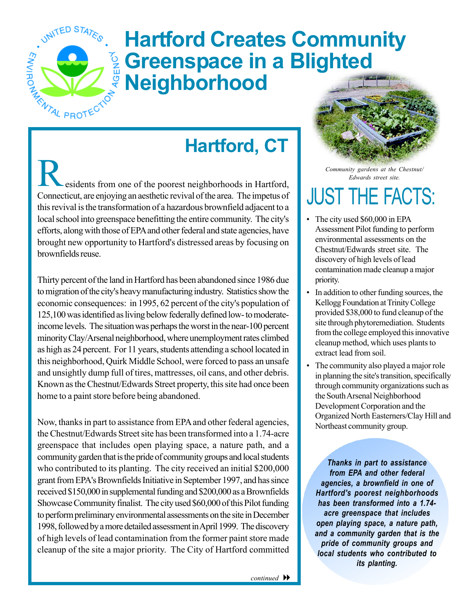

## **Hartford Creates Community Greenspace in a Blighted<br>
<sup>G</sup> Neighborhood Neighborhood**

## **Hartford, CT**

esidents from one of the poorest neighborhoods in Hartford, Connecticut, are enjoying an aesthetic revival of the area. The impetus of this revival is the transformation of a hazardous brownfield adjacent to a local school into greenspace benefitting the entire community. The city's efforts, along with those of EPA and other federal and state agencies, have brought new opportunity to Hartford's distressed areas by focusing on brownfields reuse.

Thirty percent of the land in Hartford has been abandoned since 1986 due to migration of the city's heavy manufacturing industry. Statistics show the economic consequences: in 1995, 62 percent of the city's population of 125,100 was identified as living below federally defined low- to moderateincome levels. The situation was perhaps the worst in the near-100 percent minority Clay/Arsenal neighborhood, where unemployment rates climbed as high as 24 percent. For 11 years, students attending a school located in this neighborhood, Quirk Middle School, were forced to pass an unsafe and unsightly dump full of tires, mattresses, oil cans, and other debris. Known as the Chestnut/Edwards Street property, this site had once been home to a paint store before being abandoned.

Now, thanks in part to assistance from EPA and other federal agencies, the Chestnut/Edwards Street site has been transformed into a 1.74-acre greenspace that includes open playing space, a nature path, and a community garden that is the pride of community groups and local students who contributed to its planting. The city received an initial \$200,000 grant from EPA's Brownfields Initiative in September 1997, and has since received \$150,000 in supplemental funding and \$200,000 as a Brownfields Showcase Community finalist. The city used \$60,000 of this Pilot funding to perform preliminary environmental assessments on the site in December 1998, followed by a more detailed assessment inApril 1999. The discovery of high levels of lead contamination from the former paint store made cleanup of the site a major priority. The City of Hartford committed



*Community gardens at the Chestnut/ Edwards street site.* 

## **JUST THE FACTS:**

- The city used \$60,000 in EPA Assessment Pilot funding to perform environmental assessments on the Chestnut/Edwards street site. The discovery of high levels of lead contamination made cleanup a major priority.
- In addition to other funding sources, the Kellogg Foundation at Trinity College provided \$38,000 to fund cleanup of the site through phytoremediation. Students from the college employed this innovative cleanup method, which uses plants to extract lead from soil.
- The community also played a major role in planning the site's transition, specifically through community organizations such as the South Arsenal Neighborhood Development Corporation and the Organized North Easterners/Clay Hill and Northeast community group.

*Thanks in part to assistance from EPA and other federal agencies, a brownfield in one of Hartford's poorest neighborhoods has been transformed into a 1.74 acre greenspace that includes open playing space, a nature path, and a community garden that is the pride of community groups and local students who contributed to its planting.*